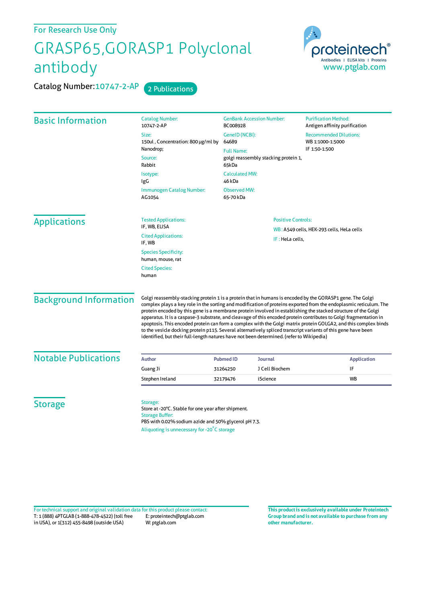## For Research Use Only

## GRASP65,GORASP1 Polyclonal antibody

Catalog Number: 10747-2-AP 2 Publications

proteintech Antibodies | ELISA kits | Proteins www.ptglab.com

| <b>Basic Information</b>      | <b>Catalog Number:</b><br>10747-2-AP                                                                                                                                                                                                                                                                                                                                                                                                                                                                                                                                                                                                                                                                                                                                                                   | <b>GenBank Accession Number:</b><br>BC008928                 | <b>Purification Method:</b><br>Antigen affinity purification |
|-------------------------------|--------------------------------------------------------------------------------------------------------------------------------------------------------------------------------------------------------------------------------------------------------------------------------------------------------------------------------------------------------------------------------------------------------------------------------------------------------------------------------------------------------------------------------------------------------------------------------------------------------------------------------------------------------------------------------------------------------------------------------------------------------------------------------------------------------|--------------------------------------------------------------|--------------------------------------------------------------|
|                               | Size:<br>150ul, Concentration: 800 µg/ml by                                                                                                                                                                                                                                                                                                                                                                                                                                                                                                                                                                                                                                                                                                                                                            | GenelD (NCBI):<br>64689                                      | <b>Recommended Dilutions:</b><br>WB 1:1000-1:5000            |
|                               | Nanodrop;<br>Source:<br>Rabbit                                                                                                                                                                                                                                                                                                                                                                                                                                                                                                                                                                                                                                                                                                                                                                         | <b>Full Name:</b>                                            | IF 1:50-1:500                                                |
|                               |                                                                                                                                                                                                                                                                                                                                                                                                                                                                                                                                                                                                                                                                                                                                                                                                        | golgi reassembly stacking protein 1,<br>65kDa                |                                                              |
|                               | Isotype:<br>IgG                                                                                                                                                                                                                                                                                                                                                                                                                                                                                                                                                                                                                                                                                                                                                                                        | <b>Calculated MW:</b><br>46 kDa                              |                                                              |
|                               | Immunogen Catalog Number:<br>AG1054                                                                                                                                                                                                                                                                                                                                                                                                                                                                                                                                                                                                                                                                                                                                                                    | <b>Observed MW:</b><br>65-70 kDa                             |                                                              |
| <b>Applications</b>           | <b>Tested Applications:</b><br>IF, WB, ELISA                                                                                                                                                                                                                                                                                                                                                                                                                                                                                                                                                                                                                                                                                                                                                           | <b>Positive Controls:</b>                                    |                                                              |
|                               | <b>Cited Applications:</b><br>IF, WB                                                                                                                                                                                                                                                                                                                                                                                                                                                                                                                                                                                                                                                                                                                                                                   | WB: A549 cells, HEK-293 cells, HeLa cells<br>IF: HeLa cells, |                                                              |
|                               | <b>Species Specificity:</b><br>human, mouse, rat                                                                                                                                                                                                                                                                                                                                                                                                                                                                                                                                                                                                                                                                                                                                                       |                                                              |                                                              |
|                               | <b>Cited Species:</b><br>human                                                                                                                                                                                                                                                                                                                                                                                                                                                                                                                                                                                                                                                                                                                                                                         |                                                              |                                                              |
| <b>Background Information</b> | Golgi reassembly-stacking protein 1 is a protein that in humans is encoded by the GORASP1 gene. The Golgi<br>complex plays a key role in the sorting and modification of proteins exported from the endoplasmic reticulum. The<br>protein encoded by this gene is a membrane protein involved in establishing the stacked structure of the Golgi<br>apparatus. It is a caspase-3 substrate, and cleavage of this encoded protein contributes to Golgi fragmentation in<br>apoptosis. This encoded protein can form a complex with the Golgi matrix protein GOLGA2, and this complex binds<br>to the vesicle docking protein p115. Several alternatively spliced transcript variants of this gene have been<br>identified, but their full-length natures have not been determined. (refer to Wikipedia) |                                                              |                                                              |
| <b>Notable Publications</b>   |                                                                                                                                                                                                                                                                                                                                                                                                                                                                                                                                                                                                                                                                                                                                                                                                        |                                                              |                                                              |
|                               | <b>Author</b><br>Guang Ji                                                                                                                                                                                                                                                                                                                                                                                                                                                                                                                                                                                                                                                                                                                                                                              | <b>Pubmed ID</b><br>Journal<br>J Cell Biochem<br>31264250    | <b>Application</b><br>IF                                     |
|                               | Stephen Ireland                                                                                                                                                                                                                                                                                                                                                                                                                                                                                                                                                                                                                                                                                                                                                                                        | iScience<br>32179476                                         | <b>WB</b>                                                    |
| <b>Storage</b>                | Storage:<br>Store at -20°C. Stable for one year after shipment.<br><b>Storage Buffer:</b><br>PBS with 0.02% sodium azide and 50% glycerol pH 7.3.<br>Aliquoting is unnecessary for -20°C storage                                                                                                                                                                                                                                                                                                                                                                                                                                                                                                                                                                                                       |                                                              |                                                              |

T: 1 (888) 4PTGLAB (1-888-478-4522) (toll free in USA), or 1(312) 455-8498 (outside USA) E: proteintech@ptglab.com W: ptglab.com Fortechnical support and original validation data forthis product please contact: **This productis exclusively available under Proteintech**

**Group brand and is not available to purchase from any other manufacturer.**